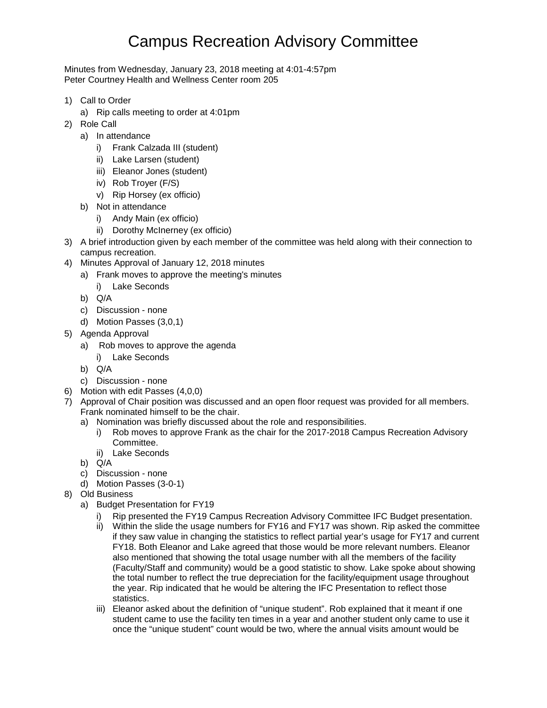## Campus Recreation Advisory Committee

Minutes from Wednesday, January 23, 2018 meeting at 4:01-4:57pm Peter Courtney Health and Wellness Center room 205

- 1) Call to Order
	- a) Rip calls meeting to order at 4:01pm
- 2) Role Call
	- a) In attendance
		- i) Frank Calzada III (student)
		- ii) Lake Larsen (student)
		- iii) Eleanor Jones (student)
		- iv) Rob Troyer (F/S)
		- v) Rip Horsey (ex officio)
	- b) Not in attendance
		- i) Andy Main (ex officio)
		- ii) Dorothy McInerney (ex officio)
- 3) A brief introduction given by each member of the committee was held along with their connection to campus recreation.
- 4) Minutes Approval of January 12, 2018 minutes
	- a) Frank moves to approve the meeting's minutes
		- i) Lake Seconds
		- b) Q/A
		- c) Discussion none
		- d) Motion Passes (3,0,1)
- 5) Agenda Approval
	- a) Rob moves to approve the agenda
		- i) Lake Seconds
	- b) Q/A
	- c) Discussion none
- 6) Motion with edit Passes (4,0,0)
- 7) Approval of Chair position was discussed and an open floor request was provided for all members. Frank nominated himself to be the chair.
	- a) Nomination was briefly discussed about the role and responsibilities.
		- i) Rob moves to approve Frank as the chair for the 2017-2018 Campus Recreation Advisory Committee.
		- ii) Lake Seconds
	- b) Q/A
	- c) Discussion none
	- d) Motion Passes (3-0-1)
- 8) Old Business
	- a) Budget Presentation for FY19
		- i) Rip presented the FY19 Campus Recreation Advisory Committee IFC Budget presentation.
		- ii) Within the slide the usage numbers for FY16 and FY17 was shown. Rip asked the committee if they saw value in changing the statistics to reflect partial year's usage for FY17 and current FY18. Both Eleanor and Lake agreed that those would be more relevant numbers. Eleanor also mentioned that showing the total usage number with all the members of the facility (Faculty/Staff and community) would be a good statistic to show. Lake spoke about showing the total number to reflect the true depreciation for the facility/equipment usage throughout the year. Rip indicated that he would be altering the IFC Presentation to reflect those statistics.
		- iii) Eleanor asked about the definition of "unique student". Rob explained that it meant if one student came to use the facility ten times in a year and another student only came to use it once the "unique student" count would be two, where the annual visits amount would be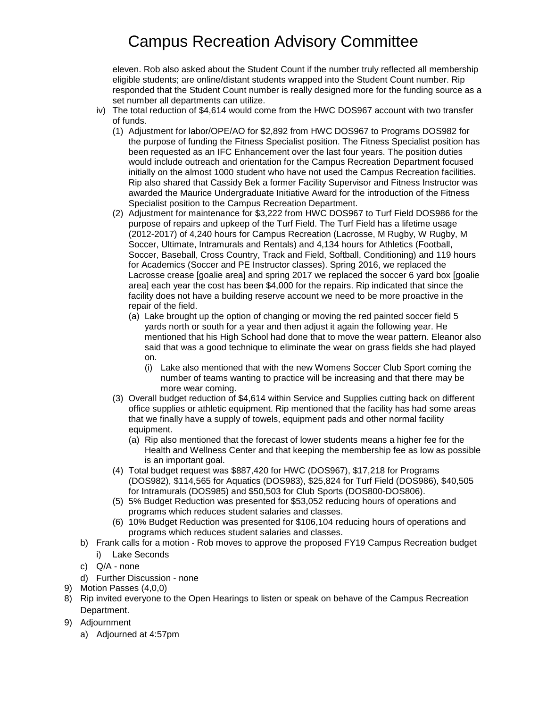## Campus Recreation Advisory Committee

eleven. Rob also asked about the Student Count if the number truly reflected all membership eligible students; are online/distant students wrapped into the Student Count number. Rip responded that the Student Count number is really designed more for the funding source as a set number all departments can utilize.

- iv) The total reduction of \$4,614 would come from the HWC DOS967 account with two transfer of funds.
	- (1) Adjustment for labor/OPE/AO for \$2,892 from HWC DOS967 to Programs DOS982 for the purpose of funding the Fitness Specialist position. The Fitness Specialist position has been requested as an IFC Enhancement over the last four years. The position duties would include outreach and orientation for the Campus Recreation Department focused initially on the almost 1000 student who have not used the Campus Recreation facilities. Rip also shared that Cassidy Bek a former Facility Supervisor and Fitness Instructor was awarded the Maurice Undergraduate Initiative Award for the introduction of the Fitness Specialist position to the Campus Recreation Department.
	- (2) Adjustment for maintenance for \$3,222 from HWC DOS967 to Turf Field DOS986 for the purpose of repairs and upkeep of the Turf Field. The Turf Field has a lifetime usage (2012-2017) of 4,240 hours for Campus Recreation (Lacrosse, M Rugby, W Rugby, M Soccer, Ultimate, Intramurals and Rentals) and 4,134 hours for Athletics (Football, Soccer, Baseball, Cross Country, Track and Field, Softball, Conditioning) and 119 hours for Academics (Soccer and PE Instructor classes). Spring 2016, we replaced the Lacrosse crease [goalie area] and spring 2017 we replaced the soccer 6 yard box [goalie area] each year the cost has been \$4,000 for the repairs. Rip indicated that since the facility does not have a building reserve account we need to be more proactive in the repair of the field.
		- (a) Lake brought up the option of changing or moving the red painted soccer field 5 yards north or south for a year and then adjust it again the following year. He mentioned that his High School had done that to move the wear pattern. Eleanor also said that was a good technique to eliminate the wear on grass fields she had played on.
			- (i) Lake also mentioned that with the new Womens Soccer Club Sport coming the number of teams wanting to practice will be increasing and that there may be more wear coming.
	- (3) Overall budget reduction of \$4,614 within Service and Supplies cutting back on different office supplies or athletic equipment. Rip mentioned that the facility has had some areas that we finally have a supply of towels, equipment pads and other normal facility equipment.
		- (a) Rip also mentioned that the forecast of lower students means a higher fee for the Health and Wellness Center and that keeping the membership fee as low as possible is an important goal.
	- (4) Total budget request was \$887,420 for HWC (DOS967), \$17,218 for Programs (DOS982), \$114,565 for Aquatics (DOS983), \$25,824 for Turf Field (DOS986), \$40,505 for Intramurals (DOS985) and \$50,503 for Club Sports (DOS800-DOS806).
	- (5) 5% Budget Reduction was presented for \$53,052 reducing hours of operations and programs which reduces student salaries and classes.
	- (6) 10% Budget Reduction was presented for \$106,104 reducing hours of operations and programs which reduces student salaries and classes.
- b) Frank calls for a motion Rob moves to approve the proposed FY19 Campus Recreation budget
	- i) Lake Seconds
- c) Q/A none
- d) Further Discussion none
- 9) Motion Passes (4,0,0)
- 8) Rip invited everyone to the Open Hearings to listen or speak on behave of the Campus Recreation Department.
- 9) Adjournment
	- a) Adjourned at 4:57pm